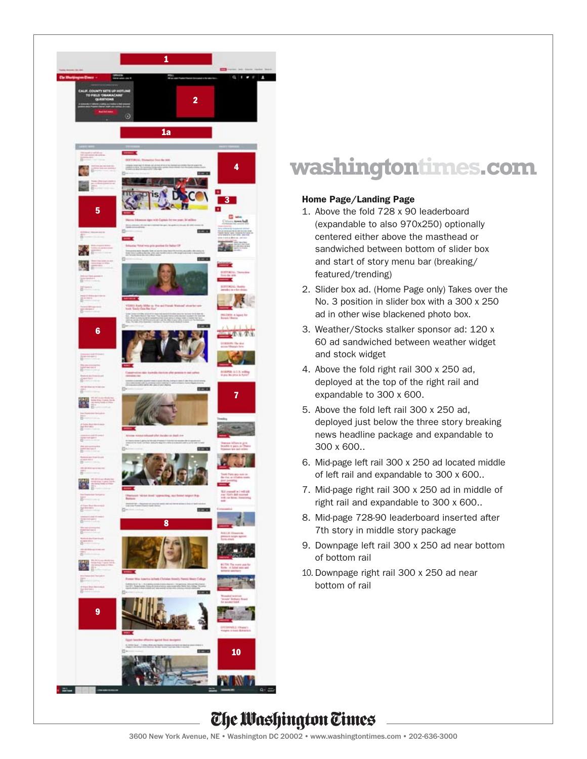

# **washingtontimes.com**

### Home Page/Landing Page

- 1. Above the fold 728 x 90 leaderboard (expandable to also 970x250) optionally centered either above the masthead or sandwiched between bottom of slider box and start of story menu bar (breaking/ featured/trending)
- 2. Slider box ad. (Home Page only) Takes over the No. 3 position in slider box with a 300 x 250 ad in other wise blackened photo box.
- 3. Weather/Stocks stalker sponsor ad: 120 x 60 ad sandwiched between weather widget and stock widget
- 4. Above the fold right rail 300 x 250 ad, deployed at the top of the right rail and expandable to 300 x 600.
- 5. Above the fold left rail 300 x 250 ad, deployed just below the three story breaking news headline package and expandable to 300 x 600..
- 6. Mid-page left rail 300 x 250 ad located middle of left rail and expandable to 300 x 600..
- 7. Mid-page right rail 300 x 250 ad in middle of right rail and expandable to 300 x 600..
- 8. Mid-page 728-90 leaderboard inserted after 7th story in middle story package
- 9. Downpage left rail 300 x 250 ad near bottom of bottom rail
- 10. Downpage right rail 300 x 250 ad near bottom of rail

## The Washington Times